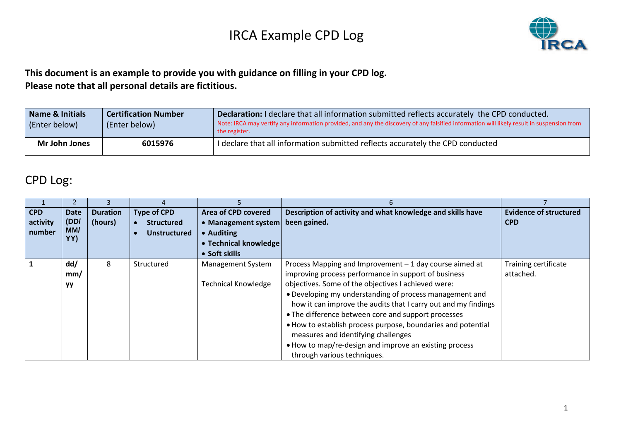

#### **This document is an example to provide you with guidance on filling in your CPD log. Please note that all personal details are fictitious.**

| Name & Initials<br>(Enter below) | <b>Certification Number</b><br>(Enter below) | Declaration: I declare that all information submitted reflects accurately the CPD conducted.<br>Note: IRCA may vertify any information provided, and any the discovery of any falsified information will likely result in suspension from<br>the register. |  |  |
|----------------------------------|----------------------------------------------|------------------------------------------------------------------------------------------------------------------------------------------------------------------------------------------------------------------------------------------------------------|--|--|
| Mr John Jones                    | 6015976                                      | I declare that all information submitted reflects accurately the CPD conducted                                                                                                                                                                             |  |  |

#### CPD Log:

|              |           | 3               |                    |                            | 6                                                              |                               |
|--------------|-----------|-----------------|--------------------|----------------------------|----------------------------------------------------------------|-------------------------------|
| <b>CPD</b>   | Date      | <b>Duration</b> | <b>Type of CPD</b> | Area of CPD covered        | Description of activity and what knowledge and skills have     | <b>Evidence of structured</b> |
| activity     | (DD/      | (hours)         | <b>Structured</b>  | • Management system        | been gained.                                                   | <b>CPD</b>                    |
| number       | MM/       |                 | Unstructured       | • Auditing                 |                                                                |                               |
|              | YY)       |                 |                    | • Technical knowledge      |                                                                |                               |
|              |           |                 |                    | • Soft skills              |                                                                |                               |
| $\mathbf{1}$ | dd/       | 8               | Structured         | <b>Management System</b>   | Process Mapping and Improvement $-1$ day course aimed at       | Training certificate          |
|              | mm/       |                 |                    |                            | improving process performance in support of business           | attached.                     |
|              | <b>yy</b> |                 |                    | <b>Technical Knowledge</b> | objectives. Some of the objectives I achieved were:            |                               |
|              |           |                 |                    |                            | • Developing my understanding of process management and        |                               |
|              |           |                 |                    |                            | how it can improve the audits that I carry out and my findings |                               |
|              |           |                 |                    |                            | • The difference between core and support processes            |                               |
|              |           |                 |                    |                            | . How to establish process purpose, boundaries and potential   |                               |
|              |           |                 |                    |                            | measures and identifying challenges                            |                               |
|              |           |                 |                    |                            | • How to map/re-design and improve an existing process         |                               |
|              |           |                 |                    |                            | through various techniques.                                    |                               |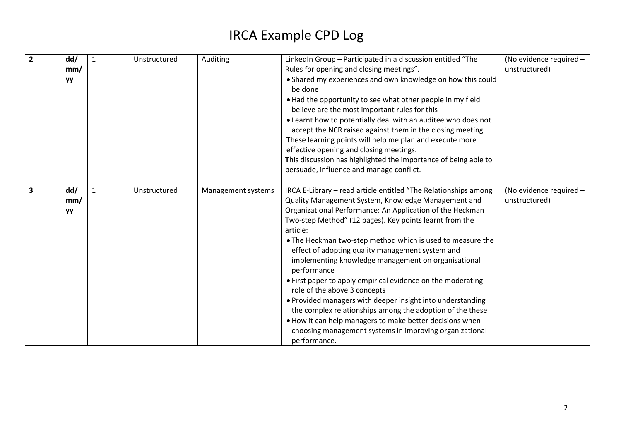| $\overline{2}$          | dd/       | Unstructured | Auditing           | LinkedIn Group - Participated in a discussion entitled "The                                             | (No evidence required - |
|-------------------------|-----------|--------------|--------------------|---------------------------------------------------------------------------------------------------------|-------------------------|
|                         | mm/       |              |                    | Rules for opening and closing meetings".                                                                | unstructured)           |
|                         | <b>yy</b> |              |                    | • Shared my experiences and own knowledge on how this could                                             |                         |
|                         |           |              |                    | be done                                                                                                 |                         |
|                         |           |              |                    | . Had the opportunity to see what other people in my field                                              |                         |
|                         |           |              |                    | believe are the most important rules for this                                                           |                         |
|                         |           |              |                    | • Learnt how to potentially deal with an auditee who does not                                           |                         |
|                         |           |              |                    | accept the NCR raised against them in the closing meeting.                                              |                         |
|                         |           |              |                    | These learning points will help me plan and execute more                                                |                         |
|                         |           |              |                    | effective opening and closing meetings.                                                                 |                         |
|                         |           |              |                    | This discussion has highlighted the importance of being able to                                         |                         |
|                         |           |              |                    | persuade, influence and manage conflict.                                                                |                         |
|                         |           |              |                    |                                                                                                         |                         |
| $\overline{\mathbf{3}}$ | dd/       | Unstructured | Management systems | IRCA E-Library - read article entitled "The Relationships among                                         | (No evidence required - |
|                         | mm/       |              |                    | Quality Management System, Knowledge Management and                                                     | unstructured)           |
|                         | yу        |              |                    | Organizational Performance: An Application of the Heckman                                               |                         |
|                         |           |              |                    | Two-step Method" (12 pages). Key points learnt from the                                                 |                         |
|                         |           |              |                    | article:                                                                                                |                         |
|                         |           |              |                    | . The Heckman two-step method which is used to measure the                                              |                         |
|                         |           |              |                    | effect of adopting quality management system and<br>implementing knowledge management on organisational |                         |
|                         |           |              |                    | performance                                                                                             |                         |
|                         |           |              |                    | • First paper to apply empirical evidence on the moderating                                             |                         |
|                         |           |              |                    | role of the above 3 concepts                                                                            |                         |
|                         |           |              |                    | • Provided managers with deeper insight into understanding                                              |                         |
|                         |           |              |                    | the complex relationships among the adoption of the these                                               |                         |
|                         |           |              |                    | . How it can help managers to make better decisions when                                                |                         |
|                         |           |              |                    | choosing management systems in improving organizational                                                 |                         |
|                         |           |              |                    | performance.                                                                                            |                         |
|                         |           |              |                    |                                                                                                         |                         |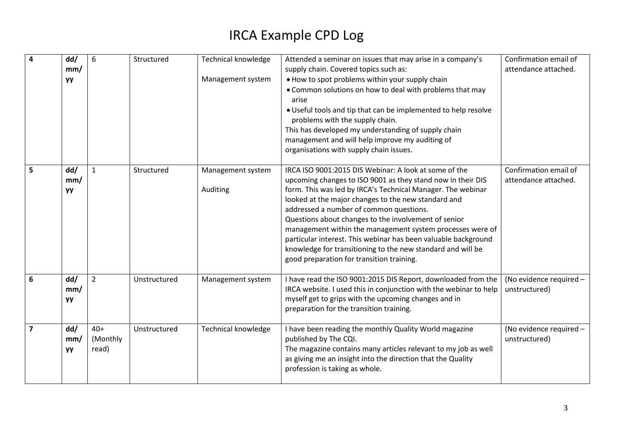| $\overline{4}$ | dd/<br>mm/<br><b>yy</b> | 6                          | Structured   | <b>Technical knowledge</b><br>Management system | Attended a seminar on issues that may arise in a company's<br>supply chain. Covered topics such as:<br>. How to spot problems within your supply chain<br>• Common solutions on how to deal with problems that may<br>arise<br>. Useful tools and tip that can be implemented to help resolve<br>problems with the supply chain.<br>This has developed my understanding of supply chain<br>management and will help improve my auditing of<br>organisations with supply chain issues.                                                                                                    | Confirmation email of<br>attendance attached. |
|----------------|-------------------------|----------------------------|--------------|-------------------------------------------------|------------------------------------------------------------------------------------------------------------------------------------------------------------------------------------------------------------------------------------------------------------------------------------------------------------------------------------------------------------------------------------------------------------------------------------------------------------------------------------------------------------------------------------------------------------------------------------------|-----------------------------------------------|
| 5              | dd/<br>mm/<br><b>yy</b> | 1                          | Structured   | Management system<br>Auditing                   | IRCA ISO 9001:2015 DIS Webinar: A look at some of the<br>upcoming changes to ISO 9001 as they stand now in their DIS<br>form. This was led by IRCA's Technical Manager. The webinar<br>looked at the major changes to the new standard and<br>addressed a number of common questions.<br>Questions about changes to the involvement of senior<br>management within the management system processes were of<br>particular interest. This webinar has been valuable background<br>knowledge for transitioning to the new standard and will be<br>good preparation for transition training. | Confirmation email of<br>attendance attached. |
| 6              | dd/<br>mm/<br>yy        | $\overline{2}$             | Unstructured | Management system                               | I have read the ISO 9001:2015 DIS Report, downloaded from the<br>IRCA website. I used this in conjunction with the webinar to help<br>myself get to grips with the upcoming changes and in<br>preparation for the transition training.                                                                                                                                                                                                                                                                                                                                                   | (No evidence required -<br>unstructured)      |
| $\overline{7}$ | dd/<br>mm/<br>УY        | $40+$<br>(Monthly<br>read) | Unstructured | <b>Technical knowledge</b>                      | I have been reading the monthly Quality World magazine<br>published by The CQI.<br>The magazine contains many articles relevant to my job as well<br>as giving me an insight into the direction that the Quality<br>profession is taking as whole.                                                                                                                                                                                                                                                                                                                                       | (No evidence required -<br>unstructured)      |